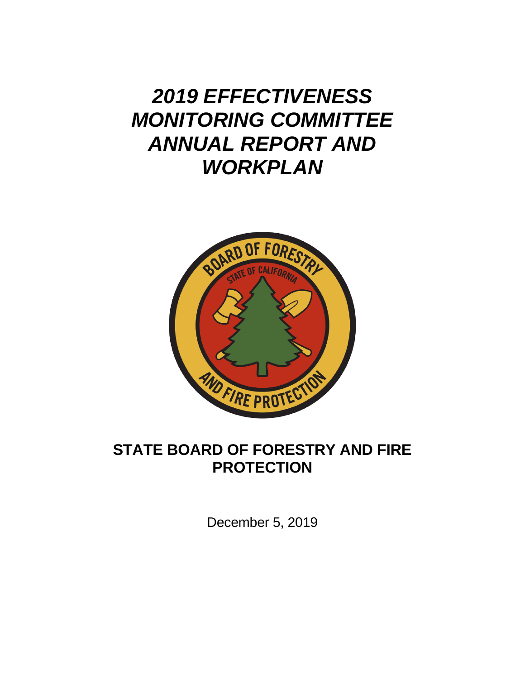# *2019 EFFECTIVENESS MONITORING COMMITTEE ANNUAL REPORT AND WORKPLAN*



## **STATE BOARD OF FORESTRY AND FIRE PROTECTION**

December 5, 2019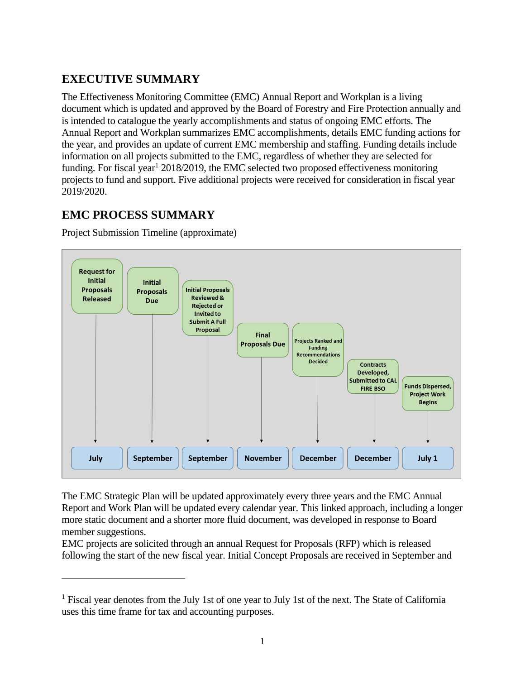## **EXECUTIVE SUMMARY**

The Effectiveness Monitoring Committee (EMC) Annual Report and Workplan is a living document which is updated and approved by the Board of Forestry and Fire Protection annually and is intended to catalogue the yearly accomplishments and status of ongoing EMC efforts. The Annual Report and Workplan summarizes EMC accomplishments, details EMC funding actions for the year, and provides an update of current EMC membership and staffing. Funding details include information on all projects submitted to the EMC, regardless of whether they are selected for funding. For fiscal year<sup>1</sup> 2018/2019, the EMC selected two proposed effectiveness monitoring projects to fund and support. Five additional projects were received for consideration in fiscal year 2019/2020.

### **EMC PROCESS SUMMARY**

l

Project Submission Timeline (approximate)



The EMC Strategic Plan will be updated approximately every three years and the EMC Annual Report and Work Plan will be updated every calendar year. This linked approach, including a longer more static document and a shorter more fluid document, was developed in response to Board member suggestions.

EMC projects are solicited through an annual Request for Proposals (RFP) which is released following the start of the new fiscal year. Initial Concept Proposals are received in September and

<sup>&</sup>lt;sup>1</sup> Fiscal year denotes from the July 1st of one year to July 1st of the next. The State of California uses this time frame for tax and accounting purposes.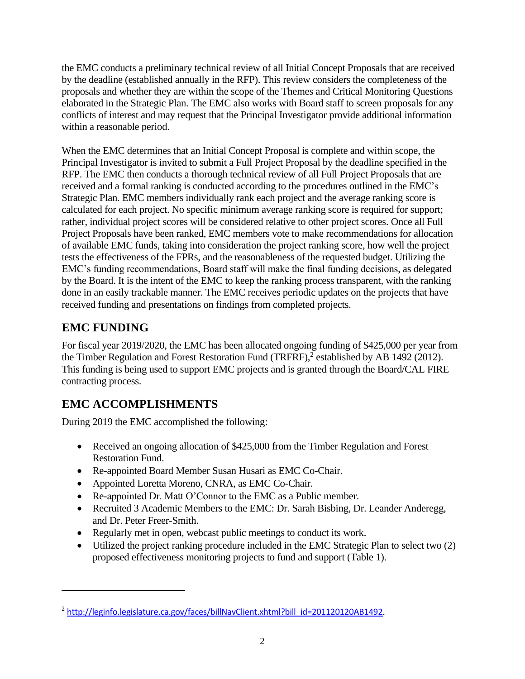the EMC conducts a preliminary technical review of all Initial Concept Proposals that are received by the deadline (established annually in the RFP). This review considers the completeness of the proposals and whether they are within the scope of the Themes and Critical Monitoring Questions elaborated in the Strategic Plan. The EMC also works with Board staff to screen proposals for any conflicts of interest and may request that the Principal Investigator provide additional information within a reasonable period.

When the EMC determines that an Initial Concept Proposal is complete and within scope, the Principal Investigator is invited to submit a Full Project Proposal by the deadline specified in the RFP. The EMC then conducts a thorough technical review of all Full Project Proposals that are received and a formal ranking is conducted according to the procedures outlined in the EMC's Strategic Plan. EMC members individually rank each project and the average ranking score is calculated for each project. No specific minimum average ranking score is required for support; rather, individual project scores will be considered relative to other project scores. Once all Full Project Proposals have been ranked, EMC members vote to make recommendations for allocation of available EMC funds, taking into consideration the project ranking score, how well the project tests the effectiveness of the FPRs, and the reasonableness of the requested budget. Utilizing the EMC's funding recommendations, Board staff will make the final funding decisions, as delegated by the Board. It is the intent of the EMC to keep the ranking process transparent, with the ranking done in an easily trackable manner. The EMC receives periodic updates on the projects that have received funding and presentations on findings from completed projects.

### **EMC FUNDING**

l

For fiscal year 2019/2020, the EMC has been allocated ongoing funding of \$425,000 per year from the Timber Regulation and Forest Restoration Fund (TRFRF),<sup>2</sup> established by AB 1492 (2012). This funding is being used to support EMC projects and is granted through the Board/CAL FIRE contracting process.

## **EMC ACCOMPLISHMENTS**

During 2019 the EMC accomplished the following:

- Received an ongoing allocation of \$425,000 from the Timber Regulation and Forest Restoration Fund.
- Re-appointed Board Member Susan Husari as EMC Co-Chair.
- Appointed Loretta Moreno, CNRA, as EMC Co-Chair.
- Re-appointed Dr. Matt O'Connor to the EMC as a Public member.
- Recruited 3 Academic Members to the EMC: Dr. Sarah Bisbing, Dr. Leander Anderegg, and Dr. Peter Freer-Smith.
- Regularly met in open, webcast public meetings to conduct its work.
- Utilized the project ranking procedure included in the EMC Strategic Plan to select two (2) proposed effectiveness monitoring projects to fund and support (Table 1).

<sup>&</sup>lt;sup>2</sup> [http://leginfo.legislature.ca.gov/faces/billNavClient.xhtml?bill\\_id=201120120AB1492](http://leginfo.legislature.ca.gov/faces/billNavClient.xhtml?bill_id=201120120AB1492).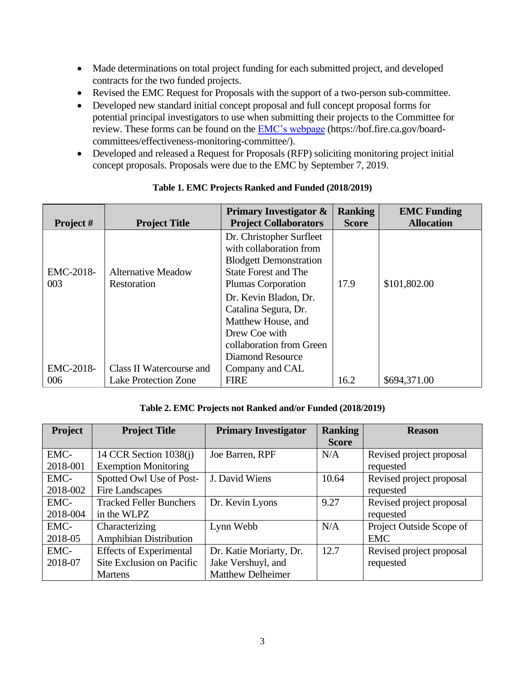- Made determinations on total project funding for each submitted project, and developed contracts for the two funded projects.
- Revised the EMC Request for Proposals with the support of a two-person sub-committee.
- Developed new standard initial concept proposal and full concept proposal forms for potential principal investigators to use when submitting their projects to the Committee for review. These forms can be found on the [EMC's webpage](https://bof.fire.ca.gov/board-committees/effectiveness-monitoring-committee/) (https://bof.fire.ca.gov/boardcommittees/effectiveness-monitoring-committee/).
- Developed and released a Request for Proposals (RFP) soliciting monitoring project initial concept proposals. Proposals were due to the EMC by September 7, 2019.

| Project # | <b>Project Title</b>        | <b>Primary Investigator &amp;</b><br><b>Project Collaborators</b> | <b>Ranking</b><br><b>Score</b> | <b>EMC Funding</b><br><b>Allocation</b> |
|-----------|-----------------------------|-------------------------------------------------------------------|--------------------------------|-----------------------------------------|
|           |                             |                                                                   |                                |                                         |
|           |                             | Dr. Christopher Surfleet                                          |                                |                                         |
|           |                             | with collaboration from                                           |                                |                                         |
|           |                             | <b>Blodgett Demonstration</b>                                     |                                |                                         |
| EMC-2018- | <b>Alternative Meadow</b>   | <b>State Forest and The</b>                                       |                                |                                         |
| 003       | Restoration                 | Plumas Corporation                                                | 17.9                           | \$101,802.00                            |
|           |                             | Dr. Kevin Bladon, Dr.                                             |                                |                                         |
|           |                             | Catalina Segura, Dr.                                              |                                |                                         |
|           |                             | Matthew House, and                                                |                                |                                         |
|           |                             | Drew Coe with                                                     |                                |                                         |
|           |                             | collaboration from Green                                          |                                |                                         |
|           |                             | Diamond Resource                                                  |                                |                                         |
| EMC-2018- | Class II Watercourse and    | Company and CAL                                                   |                                |                                         |
| 006       | <b>Lake Protection Zone</b> | <b>FIRE</b>                                                       | 16.2                           | \$694,371.00                            |

#### **Table 1. EMC Projects Ranked and Funded (2018/2019)**

#### **Table 2. EMC Projects not Ranked and/or Funded (2018/2019)**

| Project  | <b>Project Title</b>           | <b>Primary Investigator</b> | <b>Ranking</b> | <b>Reason</b>            |
|----------|--------------------------------|-----------------------------|----------------|--------------------------|
|          |                                |                             | <b>Score</b>   |                          |
| EMC-     | 14 CCR Section $1038(i)$       | Joe Barren, RPF             | N/A            | Revised project proposal |
| 2018-001 | <b>Exemption Monitoring</b>    |                             |                | requested                |
| EMC-     | Spotted Owl Use of Post-       | J. David Wiens              | 10.64          | Revised project proposal |
| 2018-002 | Fire Landscapes                |                             |                | requested                |
| EMC-     | <b>Tracked Feller Bunchers</b> | Dr. Kevin Lyons             | 9.27           | Revised project proposal |
| 2018-004 | in the WLPZ                    |                             |                | requested                |
| EMC-     | Characterizing                 | Lynn Webb                   | N/A            | Project Outside Scope of |
| 2018-05  | <b>Amphibian Distribution</b>  |                             |                | <b>EMC</b>               |
| EMC-     | <b>Effects of Experimental</b> | Dr. Katie Moriarty, Dr.     | 12.7           | Revised project proposal |
| 2018-07  | Site Exclusion on Pacific      | Jake Vershuyl, and          |                | requested                |
|          | <b>Martens</b>                 | <b>Matthew Delheimer</b>    |                |                          |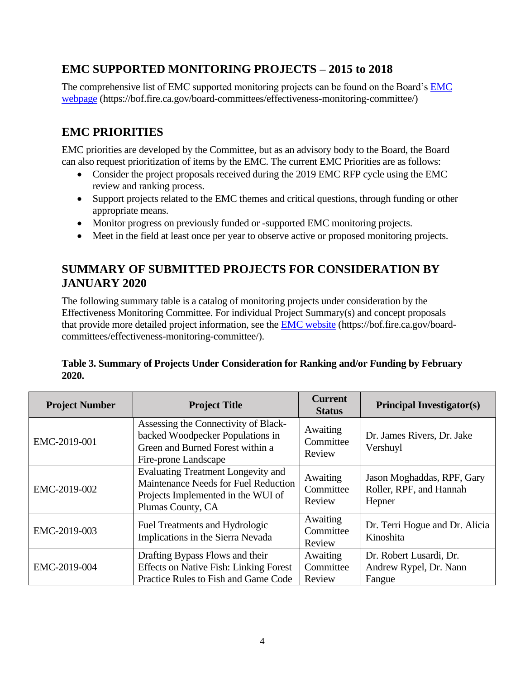### **EMC SUPPORTED MONITORING PROJECTS – 2015 to 2018**

The comprehensive list of EMC supported monitoring projects can be found on the Board's [EMC](https://bof.fire.ca.gov/board-committees/effectiveness-monitoring-committee/)  [webpage](https://bof.fire.ca.gov/board-committees/effectiveness-monitoring-committee/) (https://bof.fire.ca.gov/board-committees/effectiveness-monitoring-committee/)

## **EMC PRIORITIES**

EMC priorities are developed by the Committee, but as an advisory body to the Board, the Board can also request prioritization of items by the EMC. The current EMC Priorities are as follows:

- Consider the project proposals received during the 2019 EMC RFP cycle using the EMC review and ranking process.
- Support projects related to the EMC themes and critical questions, through funding or other appropriate means.
- Monitor progress on previously funded or -supported EMC monitoring projects.
- Meet in the field at least once per year to observe active or proposed monitoring projects.

#### **SUMMARY OF SUBMITTED PROJECTS FOR CONSIDERATION BY JANUARY 2020**

The following summary table is a catalog of monitoring projects under consideration by the Effectiveness Monitoring Committee. For individual Project Summary(s) and concept proposals that provide more detailed project information, see the **EMC** website (https://bof.fire.ca.gov/boardcommittees/effectiveness-monitoring-committee/).

#### **Table 3. Summary of Projects Under Consideration for Ranking and/or Funding by February 2020.**

| <b>Project Number</b> | <b>Project Title</b>                                                                                                                         | <b>Current</b><br><b>Status</b> | <b>Principal Investigator(s)</b>                                |
|-----------------------|----------------------------------------------------------------------------------------------------------------------------------------------|---------------------------------|-----------------------------------------------------------------|
| EMC-2019-001          | Assessing the Connectivity of Black-<br>backed Woodpecker Populations in<br>Green and Burned Forest within a<br>Fire-prone Landscape         | Awaiting<br>Committee<br>Review | Dr. James Rivers, Dr. Jake<br>Vershuyl                          |
| EMC-2019-002          | <b>Evaluating Treatment Longevity and</b><br>Maintenance Needs for Fuel Reduction<br>Projects Implemented in the WUI of<br>Plumas County, CA | Awaiting<br>Committee<br>Review | Jason Moghaddas, RPF, Gary<br>Roller, RPF, and Hannah<br>Hepner |
| EMC-2019-003          | Fuel Treatments and Hydrologic<br>Implications in the Sierra Nevada                                                                          | Awaiting<br>Committee<br>Review | Dr. Terri Hogue and Dr. Alicia<br>Kinoshita                     |
| EMC-2019-004          | Drafting Bypass Flows and their<br><b>Effects on Native Fish: Linking Forest</b><br>Practice Rules to Fish and Game Code                     | Awaiting<br>Committee<br>Review | Dr. Robert Lusardi, Dr.<br>Andrew Rypel, Dr. Nann<br>Fangue     |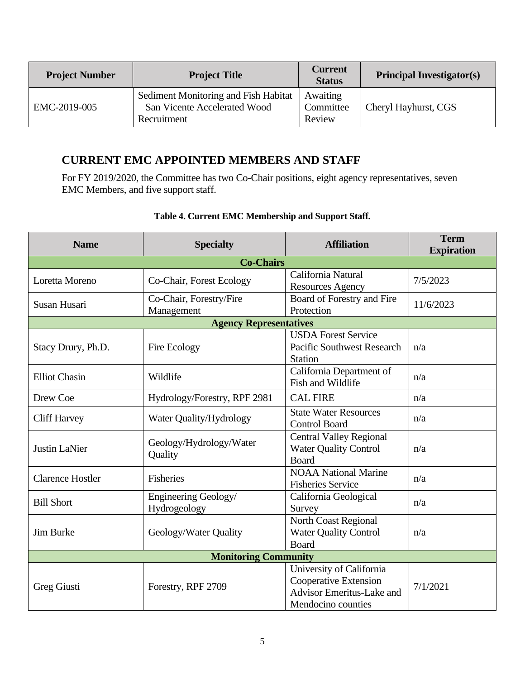| <b>Project Number</b> | <b>Project Title</b>                                                                  | <b>Current</b><br><b>Status</b> | <b>Principal Investigator(s)</b> |
|-----------------------|---------------------------------------------------------------------------------------|---------------------------------|----------------------------------|
| EMC-2019-005          | Sediment Monitoring and Fish Habitat<br>- San Vicente Accelerated Wood<br>Recruitment | Awaiting<br>Committee<br>Review | Cheryl Hayhurst, CGS             |

### **CURRENT EMC APPOINTED MEMBERS AND STAFF**

For FY 2019/2020, the Committee has two Co-Chair positions, eight agency representatives, seven EMC Members, and five support staff.

| <b>Name</b>                 | <b>Specialty</b>                      | <b>Affiliation</b>                                                                                          | <b>Term</b><br><b>Expiration</b> |  |  |  |
|-----------------------------|---------------------------------------|-------------------------------------------------------------------------------------------------------------|----------------------------------|--|--|--|
| <b>Co-Chairs</b>            |                                       |                                                                                                             |                                  |  |  |  |
| Loretta Moreno              | Co-Chair, Forest Ecology              | California Natural<br><b>Resources Agency</b>                                                               | 7/5/2023                         |  |  |  |
| Susan Husari                | Co-Chair, Forestry/Fire<br>Management | Board of Forestry and Fire<br>Protection                                                                    | 11/6/2023                        |  |  |  |
|                             | <b>Agency Representatives</b>         |                                                                                                             |                                  |  |  |  |
| Stacy Drury, Ph.D.          | Fire Ecology                          | <b>USDA Forest Service</b><br><b>Pacific Southwest Research</b><br><b>Station</b>                           | n/a                              |  |  |  |
| <b>Elliot Chasin</b>        | Wildlife                              | California Department of<br>Fish and Wildlife                                                               | n/a                              |  |  |  |
| Drew Coe                    | Hydrology/Forestry, RPF 2981          | <b>CAL FIRE</b>                                                                                             | n/a                              |  |  |  |
| <b>Cliff Harvey</b>         | Water Quality/Hydrology               | <b>State Water Resources</b><br><b>Control Board</b>                                                        | n/a                              |  |  |  |
| <b>Justin LaNier</b>        | Geology/Hydrology/Water<br>Quality    | <b>Central Valley Regional</b><br><b>Water Quality Control</b><br><b>Board</b>                              | n/a                              |  |  |  |
| <b>Clarence Hostler</b>     | Fisheries                             | <b>NOAA National Marine</b><br><b>Fisheries Service</b>                                                     | n/a                              |  |  |  |
| <b>Bill Short</b>           | Engineering Geology/<br>Hydrogeology  | California Geological<br>Survey                                                                             | n/a                              |  |  |  |
| Jim Burke                   | Geology/Water Quality                 | North Coast Regional<br><b>Water Quality Control</b><br><b>Board</b>                                        | n/a                              |  |  |  |
| <b>Monitoring Community</b> |                                       |                                                                                                             |                                  |  |  |  |
| Greg Giusti                 | Forestry, RPF 2709                    | University of California<br>Cooperative Extension<br><b>Advisor Emeritus-Lake and</b><br>Mendocino counties | 7/1/2021                         |  |  |  |

#### **Table 4. Current EMC Membership and Support Staff.**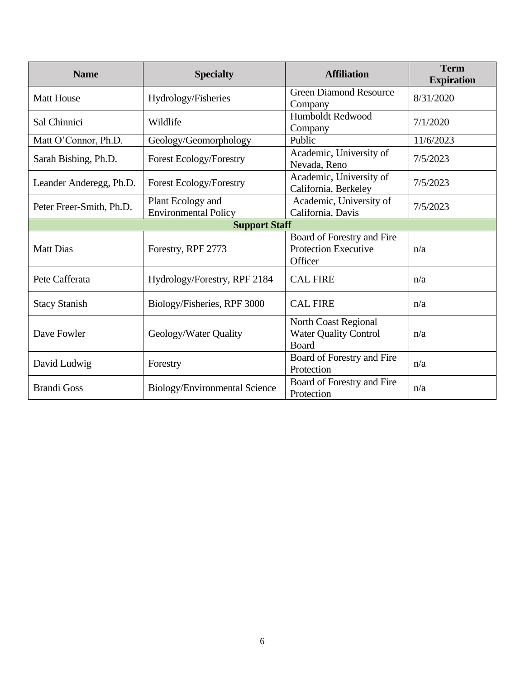| <b>Name</b>              | <b>Affiliation</b><br><b>Specialty</b>           |                                                                             | <b>Term</b><br><b>Expiration</b> |
|--------------------------|--------------------------------------------------|-----------------------------------------------------------------------------|----------------------------------|
| <b>Matt House</b>        | Hydrology/Fisheries                              | <b>Green Diamond Resource</b><br>Company                                    | 8/31/2020                        |
| Sal Chinnici             | Wildlife                                         | Humboldt Redwood<br>Company                                                 | 7/1/2020                         |
| Matt O'Connor, Ph.D.     | Geology/Geomorphology                            | Public                                                                      | 11/6/2023                        |
| Sarah Bisbing, Ph.D.     | <b>Forest Ecology/Forestry</b>                   | Academic, University of<br>Nevada, Reno                                     | 7/5/2023                         |
| Leander Anderegg, Ph.D.  | <b>Forest Ecology/Forestry</b>                   | Academic, University of<br>California, Berkeley                             | 7/5/2023                         |
| Peter Freer-Smith, Ph.D. | Plant Ecology and<br><b>Environmental Policy</b> | Academic, University of<br>California, Davis                                | 7/5/2023                         |
|                          | <b>Support Staff</b>                             |                                                                             |                                  |
| <b>Matt Dias</b>         | Forestry, RPF 2773                               | Board of Forestry and Fire<br><b>Protection Executive</b><br>Officer        | n/a                              |
| Pete Cafferata           | Hydrology/Forestry, RPF 2184                     | <b>CAL FIRE</b>                                                             | n/a                              |
| <b>Stacy Stanish</b>     | Biology/Fisheries, RPF 3000                      | <b>CAL FIRE</b>                                                             | n/a                              |
| Dave Fowler              | Geology/Water Quality                            | <b>North Coast Regional</b><br><b>Water Quality Control</b><br><b>Board</b> | n/a                              |
| David Ludwig             | Forestry                                         | Board of Forestry and Fire<br>Protection                                    | n/a                              |
| <b>Brandi Goss</b>       | Biology/Environmental Science                    | Board of Forestry and Fire<br>Protection                                    | n/a                              |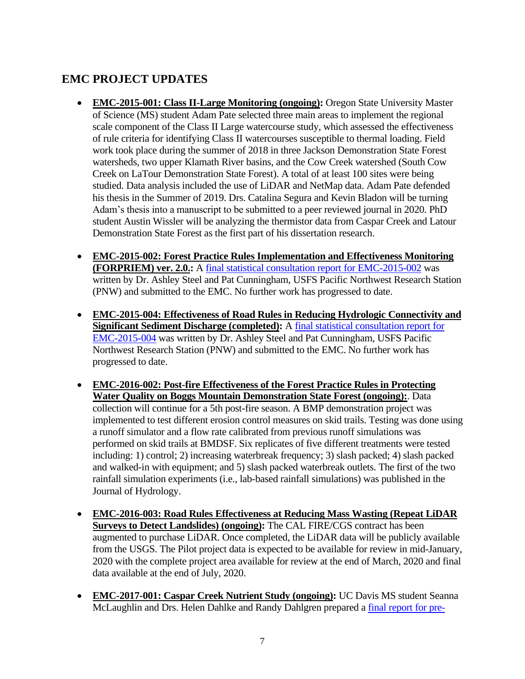### **EMC PROJECT UPDATES**

- **EMC-2015-001: Class II-Large Monitoring (ongoing):** Oregon State University Master of Science (MS) student Adam Pate selected three main areas to implement the regional scale component of the Class II Large watercourse study, which assessed the effectiveness of rule criteria for identifying Class II watercourses susceptible to thermal loading. Field work took place during the summer of 2018 in three Jackson Demonstration State Forest watersheds, two upper Klamath River basins, and the Cow Creek watershed (South Cow Creek on LaTour Demonstration State Forest). A total of at least 100 sites were being studied. Data analysis included the use of LiDAR and NetMap data. Adam Pate defended his thesis in the Summer of 2019. Drs. Catalina Segura and Kevin Bladon will be turning Adam's thesis into a manuscript to be submitted to a peer reviewed journal in 2020. PhD student Austin Wissler will be analyzing the thermistor data from Caspar Creek and Latour Demonstration State Forest as the first part of his dissertation research.
- **EMC-2015-002: Forest Practice Rules Implementation and Effectiveness Monitoring (FORPRIEM) ver. 2.0.:** A [final statistical consultation report](https://bof.fire.ca.gov/media/9331/emc-2015-002-forpriem-and-emc-2015-004-road-rules-final-report_ada.pdf) for EMC-2015-002 was written by Dr. Ashley Steel and Pat Cunningham, USFS Pacific Northwest Research Station (PNW) and submitted to the EMC. No further work has progressed to date.
- **EMC-2015-004: Effectiveness of Road Rules in Reducing Hydrologic Connectivity and Significant Sediment Discharge (completed):** A [final statistical consultation report for](https://bof.fire.ca.gov/media/9331/emc-2015-002-forpriem-and-emc-2015-004-road-rules-final-report_ada.pdf)  [EMC-2015-004](https://bof.fire.ca.gov/media/9331/emc-2015-002-forpriem-and-emc-2015-004-road-rules-final-report_ada.pdf) was written by Dr. Ashley Steel and Pat Cunningham, USFS Pacific Northwest Research Station (PNW) and submitted to the EMC. No further work has progressed to date.
- **EMC-2016-002: Post-fire Effectiveness of the Forest Practice Rules in Protecting Water Quality on Boggs Mountain Demonstration State Forest (ongoing):**. Data collection will continue for a 5th post-fire season. A BMP demonstration project was implemented to test different erosion control measures on skid trails. Testing was done using a runoff simulator and a flow rate calibrated from previous runoff simulations was performed on skid trails at BMDSF. Six replicates of five different treatments were tested including: 1) control; 2) increasing waterbreak frequency; 3) slash packed; 4) slash packed and walked-in with equipment; and 5) slash packed waterbreak outlets. The first of the two rainfall simulation experiments (i.e., lab-based rainfall simulations) was published in the Journal of Hydrology.
- **EMC-2016-003: Road Rules Effectiveness at Reducing Mass Wasting (Repeat LiDAR Surveys to Detect Landslides) (ongoing):** The CAL FIRE/CGS contract has been augmented to purchase LiDAR. Once completed, the LiDAR data will be publicly available from the USGS. The Pilot project data is expected to be available for review in mid-January, 2020 with the complete project area available for review at the end of March, 2020 and final data available at the end of July, 2020.
- **EMC-2017-001: Caspar Creek Nutrient Study (ongoing):** UC Davis MS student Seanna McLaughlin and Drs. Helen Dahlke and Randy Dahlgren prepared a [final report for pre-](https://bof.fire.ca.gov/media/9332/emc-2017-001-uc-davis-nutrient-study-progress-report_ada.pdf)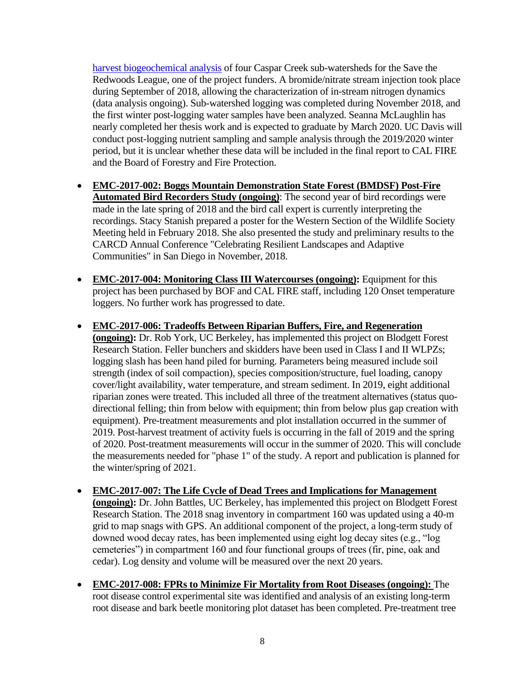[harvest biogeochemical analysis](https://bof.fire.ca.gov/media/9332/emc-2017-001-uc-davis-nutrient-study-progress-report_ada.pdf) of four Caspar Creek sub-watersheds for the Save the Redwoods League, one of the project funders. A bromide/nitrate stream injection took place during September of 2018, allowing the characterization of in-stream nitrogen dynamics (data analysis ongoing). Sub-watershed logging was completed during November 2018, and the first winter post-logging water samples have been analyzed. Seanna McLaughlin has nearly completed her thesis work and is expected to graduate by March 2020. UC Davis will conduct post-logging nutrient sampling and sample analysis through the 2019/2020 winter period, but it is unclear whether these data will be included in the final report to CAL FIRE and the Board of Forestry and Fire Protection.

- **EMC-2017-002: Boggs Mountain Demonstration State Forest (BMDSF) Post-Fire Automated Bird Recorders Study (ongoing)**: The second year of bird recordings were made in the late spring of 2018 and the bird call expert is currently interpreting the recordings. Stacy Stanish prepared a poster for the Western Section of the Wildlife Society Meeting held in February 2018. She also presented the study and preliminary results to the CARCD Annual Conference "Celebrating Resilient Landscapes and Adaptive Communities" in San Diego in November, 2018.
- **EMC-2017-004: Monitoring Class III Watercourses (ongoing):** Equipment for this project has been purchased by BOF and CAL FIRE staff, including 120 Onset temperature loggers. No further work has progressed to date.
- **EMC-2017-006: Tradeoffs Between Riparian Buffers, Fire, and Regeneration (ongoing):** Dr. Rob York, UC Berkeley, has implemented this project on Blodgett Forest Research Station. Feller bunchers and skidders have been used in Class I and II WLPZs; logging slash has been hand piled for burning. Parameters being measured include soil strength (index of soil compaction), species composition/structure, fuel loading, canopy cover/light availability, water temperature, and stream sediment. In 2019, eight additional riparian zones were treated. This included all three of the treatment alternatives (status quodirectional felling; thin from below with equipment; thin from below plus gap creation with equipment). Pre-treatment measurements and plot installation occurred in the summer of 2019. Post-harvest treatment of activity fuels is occurring in the fall of 2019 and the spring of 2020. Post-treatment measurements will occur in the summer of 2020. This will conclude the measurements needed for "phase 1" of the study. A report and publication is planned for the winter/spring of 2021.
- **EMC-2017-007: The Life Cycle of Dead Trees and Implications for Management (ongoing):** Dr. John Battles, UC Berkeley, has implemented this project on Blodgett Forest Research Station. The 2018 snag inventory in compartment 160 was updated using a 40-m grid to map snags with GPS. An additional component of the project, a long-term study of downed wood decay rates, has been implemented using eight log decay sites (e.g., "log cemeteries") in compartment 160 and four functional groups of trees (fir, pine, oak and cedar). Log density and volume will be measured over the next 20 years.
- **EMC-2017-008: FPRs to Minimize Fir Mortality from Root Diseases (ongoing):** The root disease control experimental site was identified and analysis of an existing long-term root disease and bark beetle monitoring plot dataset has been completed. Pre-treatment tree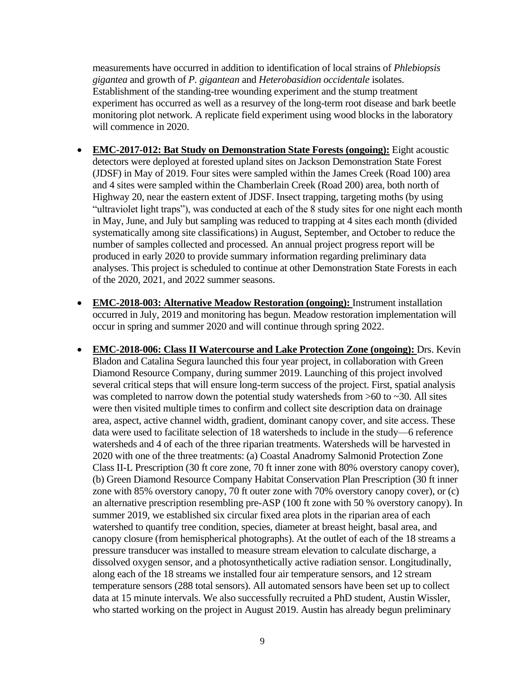measurements have occurred in addition to identification of local strains of *Phlebiopsis gigantea* and growth of *P. gigantean* and *Heterobasidion occidentale* isolates. Establishment of the standing-tree wounding experiment and the stump treatment experiment has occurred as well as a resurvey of the long-term root disease and bark beetle monitoring plot network. A replicate field experiment using wood blocks in the laboratory will commence in 2020.

- **EMC-2017-012: Bat Study on Demonstration State Forests (ongoing):** Eight acoustic detectors were deployed at forested upland sites on Jackson Demonstration State Forest (JDSF) in May of 2019. Four sites were sampled within the James Creek (Road 100) area and 4 sites were sampled within the Chamberlain Creek (Road 200) area, both north of Highway 20, near the eastern extent of JDSF. Insect trapping, targeting moths (by using "ultraviolet light traps"), was conducted at each of the 8 study sites for one night each month in May, June, and July but sampling was reduced to trapping at 4 sites each month (divided systematically among site classifications) in August, September, and October to reduce the number of samples collected and processed. An annual project progress report will be produced in early 2020 to provide summary information regarding preliminary data analyses. This project is scheduled to continue at other Demonstration State Forests in each of the 2020, 2021, and 2022 summer seasons.
- **EMC-2018-003: Alternative Meadow Restoration (ongoing):** Instrument installation occurred in July, 2019 and monitoring has begun. Meadow restoration implementation will occur in spring and summer 2020 and will continue through spring 2022.
- **EMC-2018-006: Class II Watercourse and Lake Protection Zone (ongoing):** Drs. Kevin Bladon and Catalina Segura launched this four year project, in collaboration with Green Diamond Resource Company, during summer 2019. Launching of this project involved several critical steps that will ensure long-term success of the project. First, spatial analysis was completed to narrow down the potential study watersheds from  $>60$  to  $\sim$ 30. All sites were then visited multiple times to confirm and collect site description data on drainage area, aspect, active channel width, gradient, dominant canopy cover, and site access. These data were used to facilitate selection of 18 watersheds to include in the study—6 reference watersheds and 4 of each of the three riparian treatments. Watersheds will be harvested in 2020 with one of the three treatments: (a) Coastal Anadromy Salmonid Protection Zone Class II-L Prescription (30 ft core zone, 70 ft inner zone with 80% overstory canopy cover), (b) Green Diamond Resource Company Habitat Conservation Plan Prescription (30 ft inner zone with 85% overstory canopy, 70 ft outer zone with 70% overstory canopy cover), or (c) an alternative prescription resembling pre-ASP (100 ft zone with 50 % overstory canopy). In summer 2019, we established six circular fixed area plots in the riparian area of each watershed to quantify tree condition, species, diameter at breast height, basal area, and canopy closure (from hemispherical photographs). At the outlet of each of the 18 streams a pressure transducer was installed to measure stream elevation to calculate discharge, a dissolved oxygen sensor, and a photosynthetically active radiation sensor. Longitudinally, along each of the 18 streams we installed four air temperature sensors, and 12 stream temperature sensors (288 total sensors). All automated sensors have been set up to collect data at 15 minute intervals. We also successfully recruited a PhD student, Austin Wissler, who started working on the project in August 2019. Austin has already begun preliminary